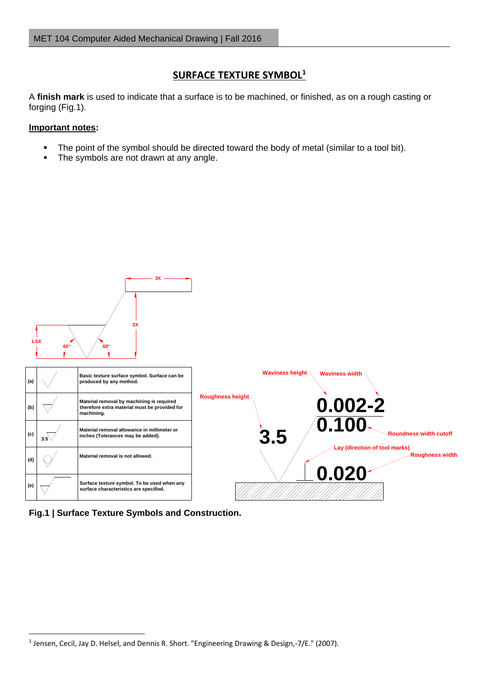## **SURFACE TEXTURE SYMBOL<sup>1</sup>**

A **finish mark** is used to indicate that a surface is to be machined, or finished, as on a rough casting or forging (Fig.1).

## **Important notes:**

- The point of the symbol should be directed toward the body of metal (similar to a tool bit).
- The symbols are not drawn at any angle.



**Fig.1 | Surface Texture Symbols and Construction.**

**<sup>.</sup>** <sup>1</sup> Jensen, Cecil, Jay D. Helsel, and Dennis R. Short. "Engineering Drawing & Design,-7/E." (2007).